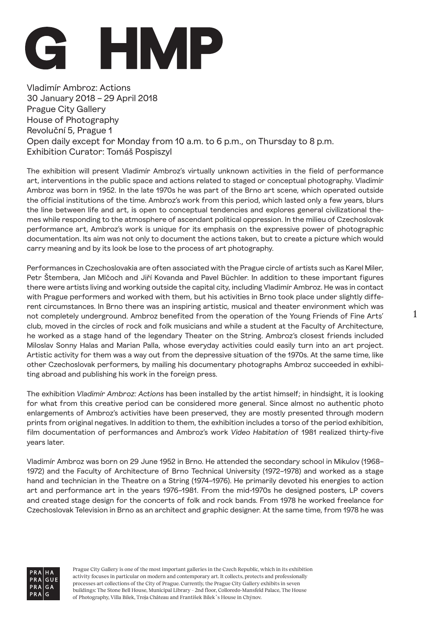

Vladimír Ambroz: Actions 30 January 2018 – 29 April 2018 Prague City Gallery House of Photography Revoluční 5, Prague 1 Open daily except for Monday from 10 a.m. to 6 p.m., on Thursday to 8 p.m. Exhibition Curator: Tomáš Pospiszyl

The exhibition will present Vladimír Ambroz's virtually unknown activities in the field of performance art, interventions in the public space and actions related to staged or conceptual photography. Vladimír Ambroz was born in 1952. In the late 1970s he was part of the Brno art scene, which operated outside the official institutions of the time. Ambroz's work from this period, which lasted only a few years, blurs the line between life and art, is open to conceptual tendencies and explores general civilizational themes while responding to the atmosphere of ascendant political oppression. In the milieu of Czechoslovak performance art, Ambroz's work is unique for its emphasis on the expressive power of photographic documentation. Its aim was not only to document the actions taken, but to create a picture which would carry meaning and by its look be lose to the process of art photography.

Performances in Czechoslovakia are often associated with the Prague circle of artists such as Karel Miler, Petr Štembera, Jan Mlčoch and Jiří Kovanda and Pavel Büchler. In addition to these important figures there were artists living and working outside the capital city, including Vladimír Ambroz. He was in contact with Prague performers and worked with them, but his activities in Brno took place under slightly different circumstances. In Brno there was an inspiring artistic, musical and theater environment which was not completely underground. Ambroz benefited from the operation of the Young Friends of Fine Arts' club, moved in the circles of rock and folk musicians and while a student at the Faculty of Architecture, he worked as a stage hand of the legendary Theater on the String. Ambroz's closest friends included Miloslav Sonny Halas and Marian Palla, whose everyday activities could easily turn into an art project. Artistic activity for them was a way out from the depressive situation of the 1970s. At the same time, like other Czechoslovak performers, by mailing his documentary photographs Ambroz succeeded in exhibiting abroad and publishing his work in the foreign press.

The exhibition *Vladimír Ambroz: Actions* has been installed by the artist himself; in hindsight, it is looking for what from this creative period can be considered more general. Since almost no authentic photo enlargements of Ambroz's activities have been preserved, they are mostly presented through modern prints from original negatives. In addition to them, the exhibition includes a torso of the period exhibition, film documentation of performances and Ambroz's work *Video Habitation* of 1981 realized thirty-five years later.

Vladimír Ambroz was born on 29 June 1952 in Brno. He attended the secondary school in Mikulov (1968– 1972) and the Faculty of Architecture of Brno Technical University (1972–1978) and worked as a stage hand and technician in the Theatre on a String (1974–1976). He primarily devoted his energies to action art and performance art in the years 1976–1981. From the mid-1970s he designed posters, LP covers and created stage design for the concerts of folk and rock bands. From 1978 he worked freelance for Czechoslovak Television in Brno as an architect and graphic designer. At the same time, from 1978 he was

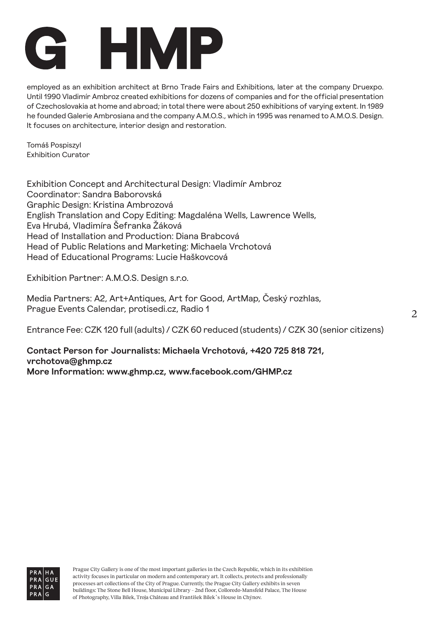

employed as an exhibition architect at Brno Trade Fairs and Exhibitions, later at the company Druexpo. Until 1990 Vladimír Ambroz created exhibitions for dozens of companies and for the official presentation of Czechoslovakia at home and abroad; in total there were about 250 exhibitions of varying extent. In 1989 he founded Galerie Ambrosiana and the company A.M.O.S., which in 1995 was renamed to A.M.O.S. Design. It focuses on architecture, interior design and restoration.

Tomáš Pospiszyl Exhibition Curator

Exhibition Concept and Architectural Design: Vladimír Ambroz Coordinator: Sandra Baborovská Graphic Design: Kristina Ambrozová English Translation and Copy Editing: Magdaléna Wells, Lawrence Wells, Eva Hrubá, Vladimíra Šefranka Žáková Head of Installation and Production: Diana Brabcová Head of Public Relations and Marketing: Michaela Vrchotová Head of Educational Programs: Lucie Haškovcová

Exhibition Partner: A.M.O.S. Design s.r.o.

Media Partners: A2, Art+Antiques, Art for Good, ArtMap, Český rozhlas, Prague Events Calendar, protisedi.cz, Radio 1

Entrance Fee: CZK 120 full (adults) / CZK 60 reduced (students) / CZK 30 (senior citizens)

**Contact Person for Journalists: Michaela Vrchotová, +420 725 818 721, vrchotova@ghmp.cz More Information: www.ghmp.cz, www.facebook.com/GHMP.cz**

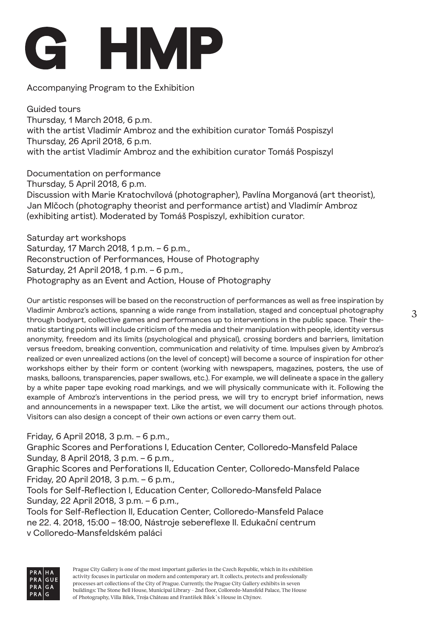

Accompanying Program to the Exhibition

Guided tours Thursday, 1 March 2018, 6 p.m. with the artist Vladimír Ambroz and the exhibition curator Tomáš Pospiszyl Thursday, 26 April 2018, 6 p.m. with the artist Vladimír Ambroz and the exhibition curator Tomáš Pospiszyl

Documentation on performance Thursday, 5 April 2018, 6 p.m. Discussion with Marie Kratochvílová (photographer), Pavlína Morganová (art theorist), Jan Mlčoch (photography theorist and performance artist) and Vladimír Ambroz (exhibiting artist). Moderated by Tomáš Pospiszyl, exhibition curator.

Saturday art workshops Saturday, 17 March 2018, 1 p.m. – 6 p.m., Reconstruction of Performances, House of Photography Saturday, 21 April 2018, 1 p.m. – 6 p.m., Photography as an Event and Action, House of Photography

Our artistic responses will be based on the reconstruction of performances as well as free inspiration by Vladimir Ambroz's actions, spanning a wide range from installation, staged and conceptual photography through bodyart, collective games and performances up to interventions in the public space. Their thematic starting points will include criticism of the media and their manipulation with people, identity versus anonymity, freedom and its limits (psychological and physical), crossing borders and barriers, limitation versus freedom, breaking convention, communication and relativity of time. Impulses given by Ambroz's realized or even unrealized actions (on the level of concept) will become a source of inspiration for other workshops either by their form or content (working with newspapers, magazines, posters, the use of masks, balloons, transparencies, paper swallows, etc.). For example, we will delineate a space in the gallery by a white paper tape evoking road markings, and we will physically communicate with it. Following the example of Ambroz's interventions in the period press, we will try to encrypt brief information, news and announcements in a newspaper text. Like the artist, we will document our actions through photos. Visitors can also design a concept of their own actions or even carry them out.

Friday, 6 April 2018, 3 p.m. – 6 p.m.,

Graphic Scores and Perforations I, Education Center, Colloredo-Mansfeld Palace Sunday, 8 April 2018, 3 p.m. – 6 p.m.,

Graphic Scores and Perforations II, Education Center, Colloredo-Mansfeld Palace Friday, 20 April 2018, 3 p.m. – 6 p.m.,

Tools for Self-Reflection I, Education Center, Colloredo-Mansfeld Palace Sunday, 22 April 2018, 3 p.m. – 6 p.m.,

Tools for Self-Reflection II, Education Center, Colloredo-Mansfeld Palace ne 22. 4. 2018, 15:00 – 18:00, Nástroje sebereflexe II. Edukační centrum v Colloredo-Mansfeldském paláci